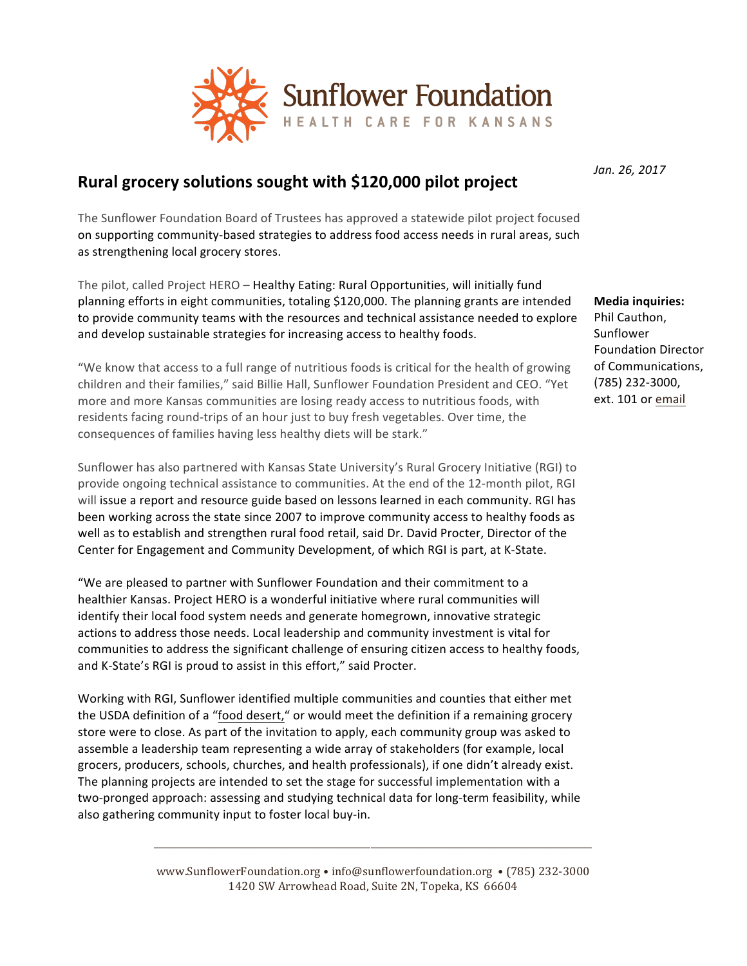

## **Rural grocery solutions sought with \$120,000 pilot project**

The Sunflower Foundation Board of Trustees has approved a statewide pilot project focused on supporting community-based strategies to address food access needs in rural areas, such as strengthening local grocery stores.

The pilot, called Project HERO - Healthy Eating: Rural Opportunities, will initially fund planning efforts in eight communities, totaling \$120,000. The planning grants are intended to provide community teams with the resources and technical assistance needed to explore and develop sustainable strategies for increasing access to healthy foods.

"We know that access to a full range of nutritious foods is critical for the health of growing children and their families," said Billie Hall, Sunflower Foundation President and CEO. "Yet more and more Kansas communities are losing ready access to nutritious foods, with residents facing round-trips of an hour just to buy fresh vegetables. Over time, the consequences of families having less healthy diets will be stark."

Sunflower has also partnered with Kansas State University's Rural Grocery Initiative (RGI) to provide ongoing technical assistance to communities. At the end of the 12-month pilot, RGI will issue a report and resource guide based on lessons learned in each community. RGI has been working across the state since 2007 to improve community access to healthy foods as well as to establish and strengthen rural food retail, said Dr. David Procter, Director of the Center for Engagement and Community Development, of which RGI is part, at K-State.

"We are pleased to partner with Sunflower Foundation and their commitment to a healthier Kansas. Project HERO is a wonderful initiative where rural communities will identify their local food system needs and generate homegrown, innovative strategic actions to address those needs. Local leadership and community investment is vital for communities to address the significant challenge of ensuring citizen access to healthy foods, and K-State's RGI is proud to assist in this effort," said Procter.

Working with RGI, Sunflower identified multiple communities and counties that either met the USDA definition of a "food desert," or would meet the definition if a remaining grocery store were to close. As part of the invitation to apply, each community group was asked to assemble a leadership team representing a wide array of stakeholders (for example, local grocers, producers, schools, churches, and health professionals), if one didn't already exist. The planning projects are intended to set the stage for successful implementation with a two-pronged approach: assessing and studying technical data for long-term feasibility, while also gathering community input to foster local buy-in.

> www.SunflowerFoundation.org • info@sunflowerfoundation.org • (785) 232-3000 1420 SW Arrowhead Road, Suite 2N, Topeka, KS 66604

> \_\_\_\_\_\_\_\_\_\_\_\_\_\_\_\_\_\_\_\_\_\_\_\_\_\_\_\_\_\_\_\_\_\_\_\_\_\_\_\_\_\_\_\_\_\_\_\_\_\_\_\_\_\_\_\_\_\_\_\_\_\_\_\_\_\_\_\_\_\_\_\_\_\_\_\_\_\_\_\_\_\_\_\_\_\_\_\_\_\_\_\_\_\_\_\_\_

*Jan. 26, 2017*

**Media inquiries:** Phil Cauthon, Sunflower Foundation Director of Communications, (785) 232-3000, ext. 101 or email